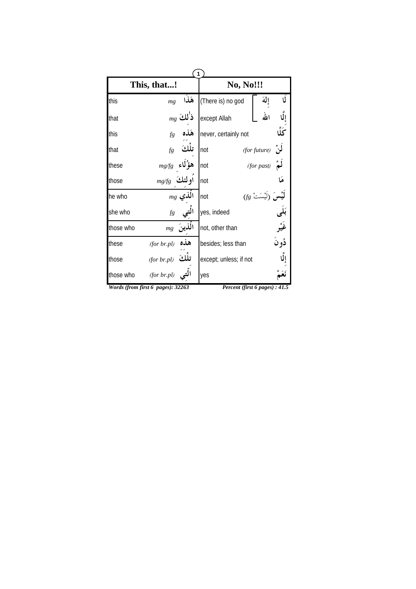|           | 1                                 |              |                                |                    |       |  |
|-----------|-----------------------------------|--------------|--------------------------------|--------------------|-------|--|
|           | This, that!                       |              | <b>No, No!!!</b>               |                    |       |  |
| this      | mg                                |              | There is) no god) هَذَا        | إلة                | Ù     |  |
| that      |                                   | $_{mg}$ ذٰلك | except Allah                   | الله               |       |  |
| this      | fg                                | هذه          | never, certainly not           |                    | ػڵۘ   |  |
| that      | fg                                | تلكَ         | not                            | لَوْ. (for future) |       |  |
| these     | mg/fg                             | هؤُلاءِ      | not                            | (for past)         |       |  |
| those     | $mg/g$ اولئك                      |              | not                            |                    |       |  |
| he who    |                                   | $mg$ الَّذي  | not                            | $(fg$ َ لَيْسَتْ   |       |  |
| she who   | fg                                |              | yes, indeed                    |                    |       |  |
| those who | mg                                | الذينَ       | not, other than                |                    |       |  |
| these     | (for br.pl)                       | هذه          | besides; less than             |                    | ڏو نُ |  |
| those     | (for br.pl)                       | تلكَ         | except; unless; if not         |                    |       |  |
| those who | (for br.pl)                       |              | yes                            |                    |       |  |
|           | Words (from first 6 pages): 32263 |              | Percent (first 6 pages) : 41.5 |                    |       |  |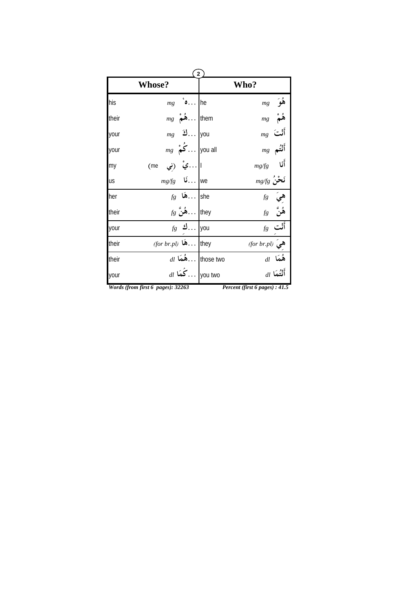|       | $\left( 2\right)$                                                                     |  |                                |  |  |
|-------|---------------------------------------------------------------------------------------|--|--------------------------------|--|--|
|       | <b>Whose?</b>                                                                         |  | Who?                           |  |  |
| his   | $\bullet$ he<br>mg                                                                    |  | $mg$ هُوَ                      |  |  |
| their | $mg \left( \stackrel{\circ}{\bullet} \stackrel{\bullet}{\bullet} \cdots \right)$ them |  | ۿؙمٌ<br>mg                     |  |  |
| your  | $mg$ 3 you                                                                            |  | $_{mg}$ أَنْتَ                 |  |  |
| your  | $mg \stackrel{\circ}{\sim} $ you all                                                  |  | $mg$ أَنْتُم                   |  |  |
| my    | ا …يْ (نِي<br>(me                                                                     |  | أَنَا<br>mg/fg                 |  |  |
| us    | $mg/g$ أنا                                                                            |  | $_{mg/fg}$ نَحْنُ              |  |  |
| her   | $fg$ هَا $\ldots$ she                                                                 |  |                                |  |  |
| their | $f$ لائٌ $\mathbf{h}$ ey                                                              |  | $fg$ هِيَ<br>هُنَّ $fg$        |  |  |
| your  | $fg \rightarrow \dots$ you                                                            |  | $f$ أَلْت                      |  |  |
| their | $(for br.pl)$ هَا:                                                                    |  | $(for \; br.pl)$ هيَ           |  |  |
| their | $dl$ أَمْمَا $\ldots$ those two                                                       |  | هُمَا al                       |  |  |
| your  | $_{dl}$ أ $\ldots$ كُمَا $\vert$ you two                                              |  | $dl$ أَنْتُمَا $l$             |  |  |
|       | Words (from first 6 pages): 32263                                                     |  | Percent (first 6 pages) : 41.5 |  |  |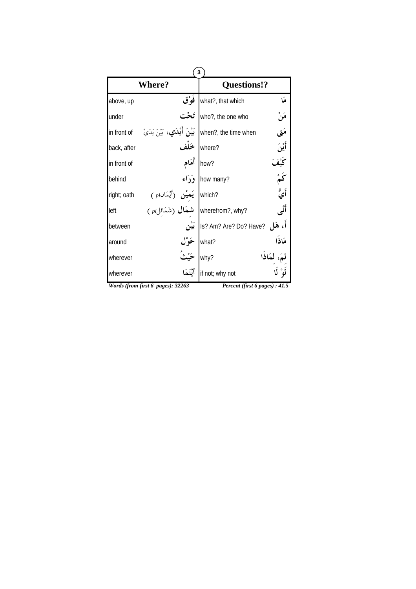|             | <b>Where?</b>                                                                    | <b>Questions!?</b>               |                  |
|-------------|----------------------------------------------------------------------------------|----------------------------------|------------------|
| above, up   | فَوْق                                                                            | what?, that which                | هَا              |
| under       |                                                                                  | who?, the one who                | مَنْ             |
| in front of | <b>بَيْنَ أَيْلدَي،</b> بَيْنَ يَدَيْ                                            | when?, the time when             | مَتى             |
| back, after |                                                                                  | where?                           | أَيْنَ           |
| in front of | أهَام                                                                            | how?                             | كَيْف            |
| behind      | وَدَاء                                                                           | how many?                        | ىخ               |
| right; oath |                                                                                  |                                  | أي <sup>ةٍ</sup> |
| left        | which?<br>( اَيَمِيْن (أَيْمَانا )<br>( wherefrom?, why? <b>سَمَال</b> (شَمَائل) |                                  | أتمى             |
| between     | بَيْن                                                                            | أَ، هَل ?Is? Am? Are? Do? Have ! |                  |
| around      | ځوْل                                                                             | what?                            | مَاذَا           |
| wherever    |                                                                                  | لمكاذا<br>why?                   |                  |
| wherever    | أَيْنَمَا                                                                        | if not; why not                  |                  |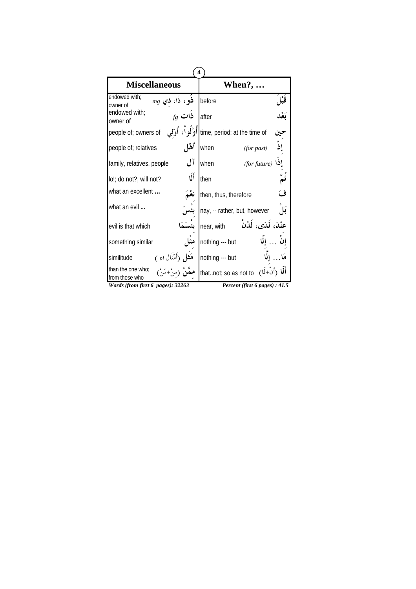| 4                                                               |       |                                           |      |  |
|-----------------------------------------------------------------|-------|-------------------------------------------|------|--|
| <b>Miscellaneous</b>                                            |       | <b>When?, </b>                            |      |  |
| endowed with:<br>$mg$ ذو، ذا، ذي<br>owner of                    |       | before                                    | ۱°ä  |  |
| endowed with;<br>$f$ ذات $f$<br>owner of                        |       | after                                     |      |  |
|                                                                 |       |                                           |      |  |
| people of; relatives                                            | أهْل  | when<br>(for past)                        | إِذْ |  |
| family, relatives, people                                       | آل    | when<br>(for future)                      |      |  |
| lo!; do not?, will not?                                         | أَلَا | then                                      |      |  |
| what an excellent                                               |       | then, thus, therefore                     | ف    |  |
| what an evil                                                    |       | nay, -- rather, but, however              | بکل  |  |
| evil is that which                                              |       | عنْدَ، لَدَى، لَدُنْ<br>near, with        |      |  |
| something similar                                               |       | nothing --- but                           |      |  |
| هَ <del>ثَا</del> لِ (أَمْثَال <i>ِ pl</i> )<br>similitude      |       | nothing --- but                           |      |  |
| than the one who;<br><b>ممَّنْ</b> (منْ+مَنْ)<br>from those who |       | أَلَمْا (أَنْ+لَا) (thatnot; so as not to |      |  |
| Words (from first 6 pages): 32263                               |       | Percent (first 6 pages) : 41.5            |      |  |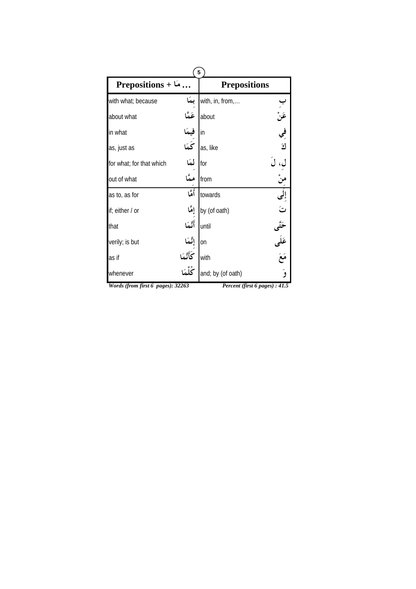| 5                                 |                |                                |                         |  |
|-----------------------------------|----------------|--------------------------------|-------------------------|--|
| Prepositions + $\ldots$           |                | <b>Prepositions</b>            |                         |  |
| with what; because                | بمَا           | with, in, from,                |                         |  |
| about what                        | عَمَّا         | about                          | ب<br>عَنْ<br>ك          |  |
| in what                           | فیمَا<br>کَمَا | in                             |                         |  |
| as, just as                       |                | as, like                       |                         |  |
| for what; for that which          | لمكا           | for                            | َلَ                     |  |
| out of what                       | ممَّا          | from                           | منْ                     |  |
| as to, as for                     | أَمَّا         | towards                        | إِلَى                   |  |
| if; either / or                   | إِمَّا         | by (of oath)                   | ر<br>ت                  |  |
| that                              | أتَمَا         | until                          |                         |  |
| verily; is but                    | إِنَّمَا       | on                             |                         |  |
| as if                             | كَأَنَّمَا     | with                           | حَتَّى<br>عَلَى<br>مَعَ |  |
| whenever                          | ݣْلْمَا        | and; by (of oath)              | ۇ                       |  |
| Words (from first 6 pages): 32263 |                | Percent (first 6 pages) : 41.5 |                         |  |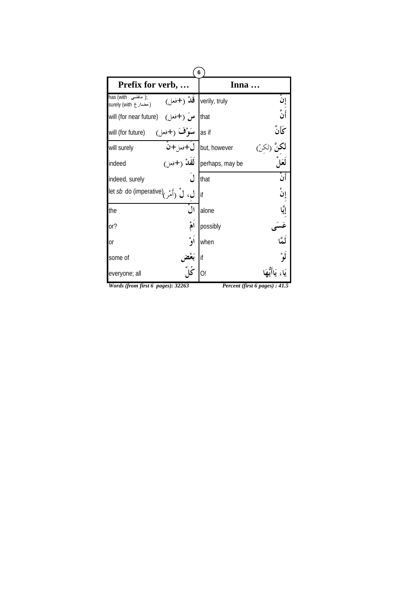| Prefix for verb,                                                                                                                               |                | Inna                                  |         |
|------------------------------------------------------------------------------------------------------------------------------------------------|----------------|---------------------------------------|---------|
| has (with أناضبي);<br>nas (with المسلمة );<br>surely (with الله ) ( مضارع ) will (for near future) ( )<br>will (for near future) ( سَ ( +فعل ) |                |                                       | إن      |
|                                                                                                                                                |                |                                       | أَنَّ   |
| las if سَوْڤَ (+فعل) (will (for future                                                                                                         |                |                                       | ػؘٲؘڹۘ۠ |
| will surely                                                                                                                                    |                | ل+فعل+ن $\bigcup$ but, however        |         |
| indeed                                                                                                                                         |                | perhaps, may be <b>لَقَلاْ</b> (+فعل) |         |
| indeed, surely                                                                                                                                 |                | that                                  | ء<br>أن |
| ل، لْ (أَمْر) (let <i>sb</i> do (imperative                                                                                                    |                | lif                                   | ٳڹۛ     |
| the                                                                                                                                            | $\int_0^{\pi}$ | alone                                 |         |
| or?                                                                                                                                            | أمُ            | possibly                              |         |
| 0r                                                                                                                                             | أو             | when                                  | لَمَّا  |
| some of                                                                                                                                        |                | if                                    |         |
| everyone; all                                                                                                                                  |                | O!                                    |         |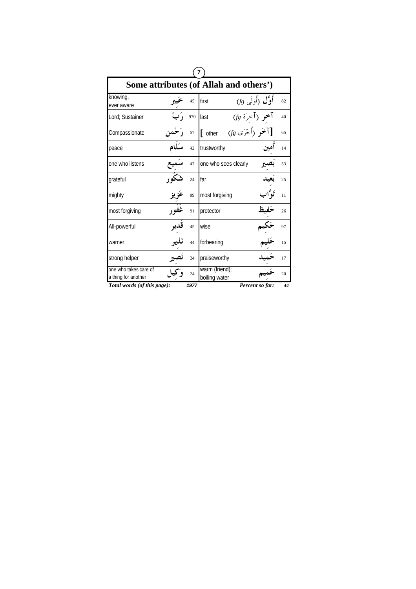| Some attributes (of Allah and others')       |      |      |                                  |                     |    |  |
|----------------------------------------------|------|------|----------------------------------|---------------------|----|--|
| knowing,<br>ever aware                       |      | 45   | first                            | أَوَّل (أُولَى $(f$ | 82 |  |
| Lord; Sustainer                              |      | 970  | آخمو (آخرَة fg)<br>last          |                     | 40 |  |
| Compassionate                                |      | 57   | $(f$ المحَو (أُخْرَى)<br>[ other |                     | 65 |  |
| peace                                        |      | 42   | trustworthy                      |                     | 14 |  |
| one who listens                              |      | 47   | one who sees clearly             |                     | 53 |  |
| grateful                                     |      | 24   | far                              |                     | 25 |  |
| mighty                                       |      | 99   | most forgiving                   |                     | 11 |  |
| most forgiving                               |      | 91   | protector                        |                     | 26 |  |
| All-powerful                                 | قدير | 45   | wise                             |                     | 97 |  |
| warner                                       |      | 44   | forbearing                       |                     | 15 |  |
| strong helper                                |      | 24   | praiseworthy                     |                     | 17 |  |
| one who takes care of<br>a thing for another |      | 24   | warm (friend);<br>boiling water  |                     | 20 |  |
| Total words (of this page):                  |      | 1977 |                                  | Percent so far:     | 44 |  |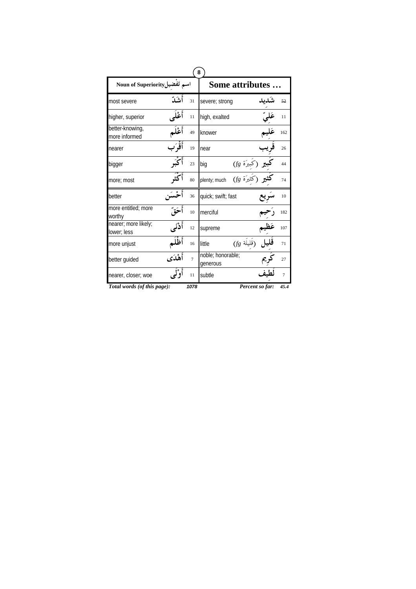|                                     |         | 8              |                                                                 |                 |                |
|-------------------------------------|---------|----------------|-----------------------------------------------------------------|-----------------|----------------|
| اسم تَفضيلMoun of Superiority       |         |                | Some attributes.                                                |                 |                |
| most severe                         | أشدّ    | 31             | severe; strong                                                  |                 | 52             |
| higher, superior                    | أعْلى   | 11             | high, exalted                                                   |                 | 11             |
| better-knowing,<br>more informed    | أعْلَم  | 49             | knower                                                          |                 | 162            |
| nearer                              | أَقْرَب | 19             | near                                                            |                 | 26             |
| bigger                              |         | 23             | <b>ر</b> (كَبِيرَة <i>tg)</i><br>بر (كَثيرَة <i>tg</i> )<br>big |                 | 44             |
| more; most                          | م<br>کف | 80             | plenty; much                                                    |                 | 74             |
| better                              |         | 36             | quick; swift; fast                                              |                 | 10             |
| more entitled; more<br>worthy       |         | 10             | merciful                                                        |                 | 182            |
| nearer; more likely;<br>lower; less | أَدْنَى | 12             | supreme                                                         |                 | 107            |
| more unjust                         | أظْلَم  | 16             | $(f$ قَليلَة)<br>little                                         |                 | 71             |
| better guided                       | أهْدَى  | $\overline{7}$ | noble; honorable;<br>generous                                   |                 | 27             |
| nearer, closer; woe                 | أوْلَى  | 11             | subtle                                                          |                 | $\overline{7}$ |
| Total words (of this page):         |         | 1078           |                                                                 | Percent so far: | 45.4           |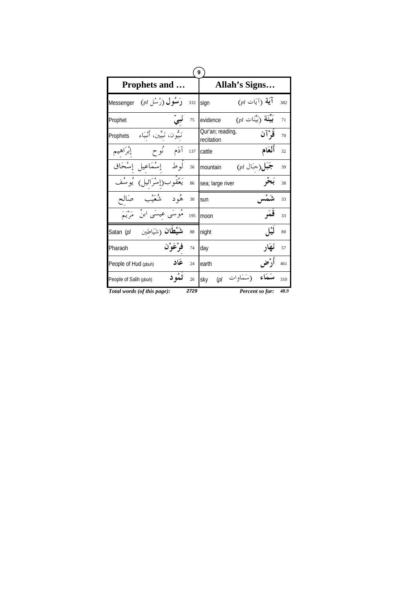| 9                      |                                               |      |                                                    |      |  |  |
|------------------------|-----------------------------------------------|------|----------------------------------------------------|------|--|--|
|                        | <b>Prophets and </b>                          |      | Allah's Signs                                      |      |  |  |
| Messenger              | $(\rho l, \hat{\mathcal{L}}^{\star} )$ رَمسُل | 332  | $(\rho l)$ اً (آيَات $\rho$<br>sign                | 382  |  |  |
| Prophet                | بى<br>~                                       | 75   | $(\rho l)$ بَيْنَة $(\vec{r}$ بَيْنَات<br>evidence | 71   |  |  |
| Prophets               | نَبِيُّون، نَبِيِّين، أَنْبِيَاءِ             |      | Qur'an; reading,<br>قَوْآن<br>recitation           | 70   |  |  |
| إبراهيم                | آدَم نُوح                                     | 137  | أَنْعَام<br>cattle                                 | 32   |  |  |
|                        | إسْمَاعيل إِسْحَاق<br>لو ط                    | 56   | جَبَل(جَبَال pl)<br>mountain                       | 39   |  |  |
| و مئم                  | يَعْقُوب(إِسْرَائِيل)                         | 86   | sea; large river                                   | 38   |  |  |
| صالح                   | و ره<br>شعد<br>هُو د                          | 30   | sun                                                | 33   |  |  |
|                        | مَوسَى عيسَى ابنُ ۖ مَرْيَمَ                  | 195  | قمَہ<br>moon                                       | 33   |  |  |
| Satan (pl              | <b>شَيْطَانْ</b> (شَيَاطِين                   | 88   | نيل<br>night                                       | 80   |  |  |
| Pharaoh                | فرْعَوْن                                      | 74   | نَهَار<br>day                                      | 57   |  |  |
| People of Hud (pbuh)   | عَاد                                          | 24   | أدْض<br>earth                                      | 461  |  |  |
| People of Salih (pbuh) | ثمُو د                                        | 26   | (سَمَاوات <sub>pl</sub> )<br>sky                   | 310  |  |  |
|                        | Total words (of this page):                   | 2729 | Percent so far:                                    | 48.9 |  |  |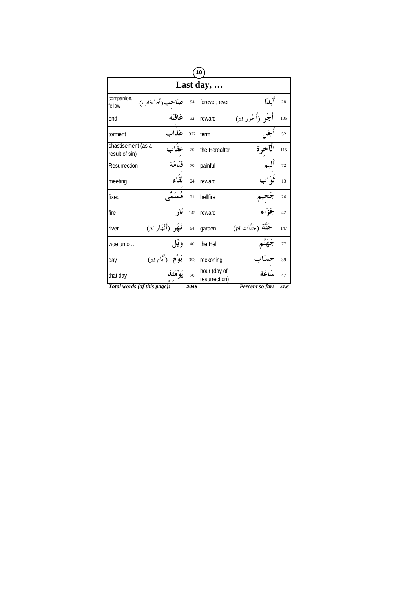|                                               |                   | (10)                          |                                     |      |  |  |  |  |
|-----------------------------------------------|-------------------|-------------------------------|-------------------------------------|------|--|--|--|--|
|                                               | Last day, $\dots$ |                               |                                     |      |  |  |  |  |
| companion,<br>ب(أصْحَاب)<br>fellow            | 94                | forever; ever                 | أَكدًا                              | 28   |  |  |  |  |
| عَاقِبَة<br>end                               | 32                | reward                        | أُجْرِ (أُجُور pl)                  | 105  |  |  |  |  |
| عَذَاب<br>torment                             | 322               | term                          | أجَإ                                | 52   |  |  |  |  |
| chastisement (as a<br>عقَاب<br>result of sin) | 20                | the Hereafter                 | الْآخرَة                            | 115  |  |  |  |  |
| قيَامَة<br>Resurrection                       | 70                | painful                       |                                     | 72   |  |  |  |  |
| meeting                                       | لقاء<br>24        | reward                        | ڻه َاپ                              | 13   |  |  |  |  |
| fixed                                         | 21                | hellfire                      |                                     | 26   |  |  |  |  |
| fire                                          | ئار<br>145        | reward                        | جَزَاء                              | 42   |  |  |  |  |
| $($ بَهَر (أَنْهَار $\rho$<br>river           | 54                | garden                        | $(\rho l)$ جَنَّة (جَنَّات $\rho l$ | 147  |  |  |  |  |
| woe unto                                      | وَيْل<br>40       | the Hell                      |                                     | 77   |  |  |  |  |
| $(pl$ يَوْم (أَيَّام $p$<br>day               | 393               | reckoning                     |                                     | 39   |  |  |  |  |
| يَوْ مَئذ<br>that day                         | 70                | hour (day of<br>resurrection) | يبكاعكة                             | 47   |  |  |  |  |
| Total words (of this page):                   | 2048              |                               | Percent so far:                     | 51.6 |  |  |  |  |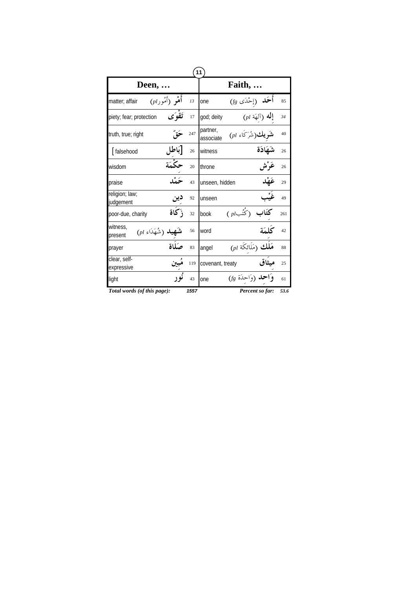|                                                   |      | 11                    |                                      |      |
|---------------------------------------------------|------|-----------------------|--------------------------------------|------|
| Deen,                                             |      | Faith,                |                                      |      |
| أَهْوِ (أَمُورا $\mu$ )<br>matter; affair         | 13   | one                   | أَحَله (إحْدَى fg)                   | 85   |
| تَقْوَى<br>piety; fear; protection                | 17   | god; deity            | $(\rho l$ إِلَٰهِ $\tilde{l}$ (آلهَة | 34   |
| truth, true; right                                | 247  | partner,<br>associate | <b>ريك(</b> شُرَكَاء pl)             | 40   |
| باطا ِ<br>falsehood                               | 26   | witness               | شَهَادَة                             | 26   |
| wisdom                                            | 20   | throne                |                                      | 26   |
| praise                                            | 43   | unseen, hidden        |                                      | 29   |
| religion; law;<br>دين<br>judgement                | 92   | unseen                |                                      | 49   |
| أكاة<br>poor-due, charity                         | 32   | book                  | كتُب ( q )                           | 261  |
| witness,<br><b>ىپبلە</b> (شُهَدَاء pl)<br>present | 56   | word                  |                                      | 42   |
| prayer                                            | 83   | angel                 | $(\rho l$ هَلْك (مَلَائكَة           | 88   |
| clear, self-<br>expressive                        | 119  | covenant, treaty      | مىثاق                                | 25   |
| نو ر<br>light                                     | 43   | one                   | <b>ئلہ (وَاحدَة fg)</b>              | 61   |
| Total words (of this page):                       | 1557 |                       | Percent so far:                      | 53.6 |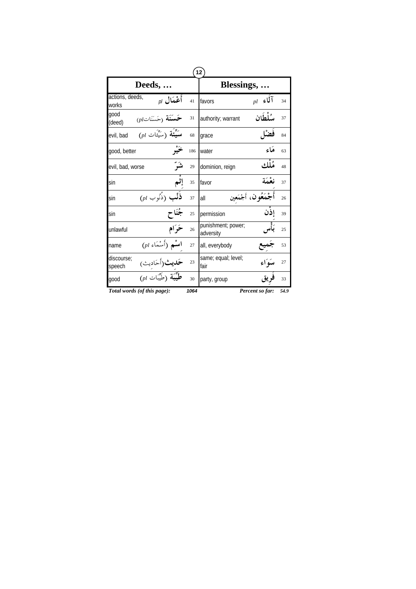| $\mathbf{12}$                                                    |      |                                 |                        |      |  |  |
|------------------------------------------------------------------|------|---------------------------------|------------------------|------|--|--|
| Deeds,                                                           |      | Blessings, .                    |                        |      |  |  |
| actions, deeds,<br>أَعْمَال <sub>ا0</sub><br>works               | 41   | favors                          | $_{pl}$ آلماء $_{pl}$  | 34   |  |  |
| qood<br>$(pl$ حَسَنَة $\widetilde{\mathcal{C}}$ سَنَات<br>(deed) | 31   | authority; warrant              | سُلْطَان               | 37   |  |  |
| $(\rho l$ سَيِّئَة (سَيِّئَات)<br>evil, bad                      | 68   | grace                           |                        | 84   |  |  |
| good, better                                                     | 186  | water                           | مكاء                   | 63   |  |  |
| شَرَّ<br>evil, bad, worse                                        | 29   | dominion, reign                 | هُڵلاء،                | 48   |  |  |
| sin                                                              | 35   | favor                           | نعْمَة                 | 37   |  |  |
| $(\rho l \hookrightarrow \hat{c}$ فَلْب<br>sin                   | 37   | all                             | أَجْمَعُو ن، أَجْمَعين | 26   |  |  |
| sin                                                              | 25   | permission                      | إذن                    | 39   |  |  |
| ځرام<br>unlawful                                                 | 26   | punishment; power;<br>adversity |                        | 25   |  |  |
| $(\rho l$ اسْمَاء)<br>name                                       | 27   | all, everybody                  |                        | 53   |  |  |
| discourse:<br><b>حَديث</b> (أحَاديث <sub>)</sub><br>speech       | 23   | same; equal; level;<br>fair     | ميبوَاء                | 27   |  |  |
| $\overline{p}$ طُّسَة (طَّسَّات (pl)<br>qood                     | 30   | party, group                    |                        | 33   |  |  |
| Total words (of this page):                                      | 1064 |                                 | Percent so far:        | 54.9 |  |  |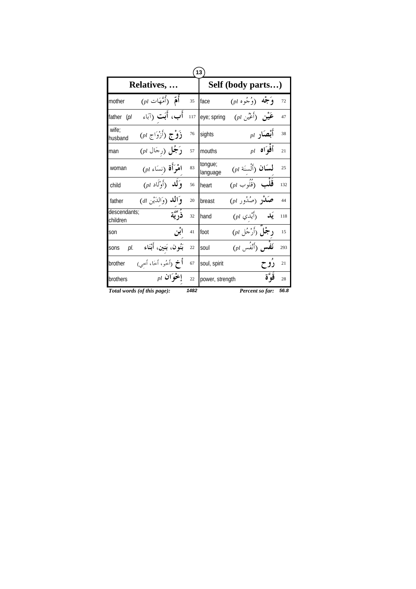| 13                          |                                                        |      |                     |                                                          |                  |      |  |
|-----------------------------|--------------------------------------------------------|------|---------------------|----------------------------------------------------------|------------------|------|--|
| Relatives,                  |                                                        |      | Self (body parts)   |                                                          |                  |      |  |
| mother                      | $(\rho l$ أُمَّ (أُمَّهَات $\rho$                      | 35   | face                | $(\rho l \rightarrow \stackrel{1}{\sim} \epsilon)$ وَجْه |                  | 72   |  |
| father<br>(p <sub>l</sub> ) | أَب، أَبَت (آبَاء                                      | 117  | eye; spring         | $(\rho l)$ عَيْنِ (أَعْيُن                               |                  | 47   |  |
| wife:<br>husband            | $(\rho l$ ذَوْج (أَزْوَاج                              | 76   | sights              |                                                          | $_{pl}$ أَبْصَار | 38   |  |
| man                         | <b>رَجُل (</b> رجَال pl)                               | 57   | mouths              |                                                          | $_{pl}$ أَفْوَاه | 21   |  |
| woman                       | $(\mathit{pl} \mathrel{\tilde{\psi}})$ اهْرَأَة (نسَاء | 83   | tongue;<br>language | لسَان (أَلْسنَة pl)                                      |                  | 25   |  |
| child                       | $(\rho l \text{ i}^{\beta})$ وَلَك و                   | 56   | heart               | $\overline{(\rho l \hookrightarrow) }$ قَلْب             |                  | 132  |  |
| father                      | وَ <b>الله</b> (وَالدَّيْنِ al)                        | 20   | breast              | $(\rho l_-, \hat{\mathcal{L}})$ صَلاْدِ صَدُور           |                  | 44   |  |
| descendants;<br>children    | ذُرِّيَّة                                              | 32   | hand                | $($ يَلا $(\vec{r}^{\,l})$ يْدي                          |                  | 118  |  |
| son                         | ابٌن                                                   | 41   | foot                | د جُلٌ (أَرْجُلِ pl)                                     |                  | 15   |  |
| pl.<br>sons                 | بَنُون، بَنين، أَبْنَاء                                | 22   | soul                | $(\rho l, \hat{\mu})$ نَفْس                              |                  | 293  |  |
| brother                     | <b>أخ</b> (أخُو، أخَا، أُحيى                           | 67   | soul, spirit        |                                                          | رو ح             | 21   |  |
| brothers                    | $_{pl}$ إخْوَان                                        | 22   | power, strength     |                                                          | قوءٌة            | 28   |  |
| Total words (of this page): |                                                        | 1482 |                     | Percent so far:                                          |                  | 56.8 |  |